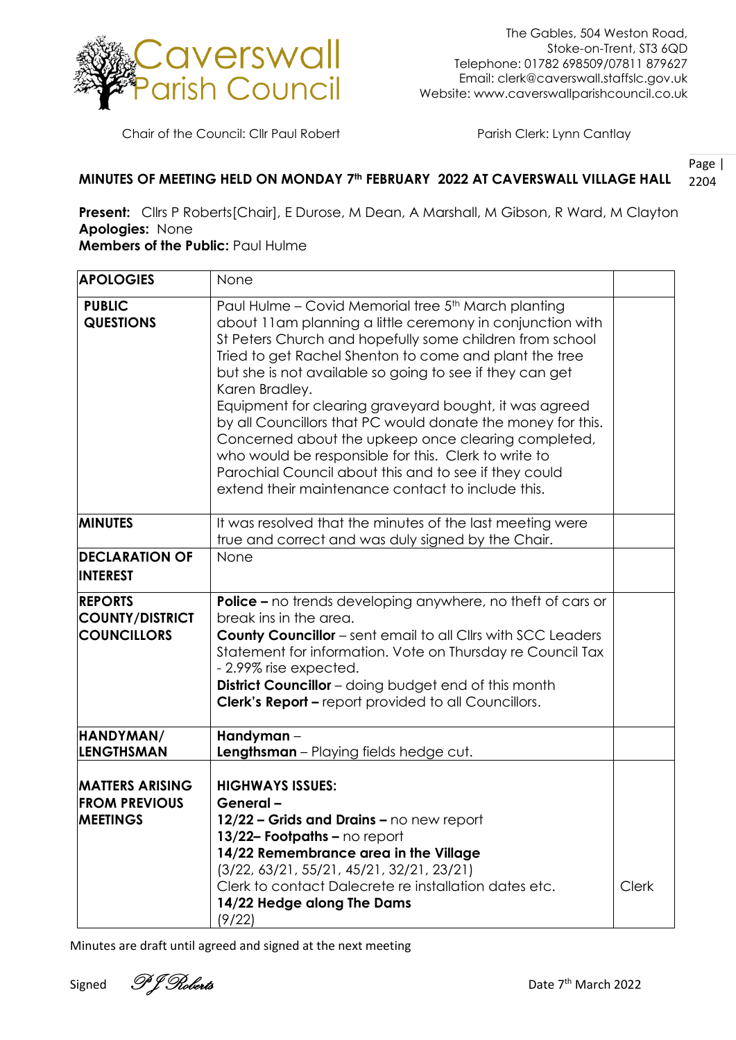

Chair of the Council: Cllr Paul Robert Parish Clerk: Lynn Cantlay

## Page | 2204 **MINUTES OF MEETING HELD ON MONDAY 7th FEBRUARY 2022 AT CAVERSWALL VILLAGE HALL**

**Present:** Cllrs P Roberts[Chair], E Durose, M Dean, A Marshall, M Gibson, R Ward, M Clayton **Apologies:** None

## **Members of the Public:** Paul Hulme

| <b>APOLOGIES</b>                                                  | None                                                                                                                                                                                                                                                                                                                                                                                                                                                                                                                                                                                                                                                                       |              |
|-------------------------------------------------------------------|----------------------------------------------------------------------------------------------------------------------------------------------------------------------------------------------------------------------------------------------------------------------------------------------------------------------------------------------------------------------------------------------------------------------------------------------------------------------------------------------------------------------------------------------------------------------------------------------------------------------------------------------------------------------------|--------------|
| <b>PUBLIC</b><br><b>QUESTIONS</b>                                 | Paul Hulme - Covid Memorial tree 5th March planting<br>about 11am planning a little ceremony in conjunction with<br>St Peters Church and hopefully some children from school<br>Tried to get Rachel Shenton to come and plant the tree<br>but she is not available so going to see if they can get<br>Karen Bradley.<br>Equipment for clearing graveyard bought, it was agreed<br>by all Councillors that PC would donate the money for this.<br>Concerned about the upkeep once clearing completed,<br>who would be responsible for this. Clerk to write to<br>Parochial Council about this and to see if they could<br>extend their maintenance contact to include this. |              |
| <b>MINUTES</b>                                                    | It was resolved that the minutes of the last meeting were<br>true and correct and was duly signed by the Chair.                                                                                                                                                                                                                                                                                                                                                                                                                                                                                                                                                            |              |
| <b>DECLARATION OF</b><br><b>INTEREST</b>                          | None                                                                                                                                                                                                                                                                                                                                                                                                                                                                                                                                                                                                                                                                       |              |
| <b>REPORTS</b><br><b>COUNTY/DISTRICT</b><br><b>COUNCILLORS</b>    | <b>Police -</b> no trends developing anywhere, no theft of cars or<br>break ins in the area.<br><b>County Councillor</b> – sent email to all Cllrs with SCC Leaders<br>Statement for information. Vote on Thursday re Council Tax<br>- 2.99% rise expected.<br>District Councillor - doing budget end of this month<br><b>Clerk's Report - report provided to all Councillors.</b>                                                                                                                                                                                                                                                                                         |              |
| HANDYMAN/<br><b>LENGTHSMAN</b>                                    | Handyman-<br><b>Lengthsman</b> - Playing fields hedge cut.                                                                                                                                                                                                                                                                                                                                                                                                                                                                                                                                                                                                                 |              |
| <b>MATTERS ARISING</b><br><b>FROM PREVIOUS</b><br><b>MEETINGS</b> | <b>HIGHWAYS ISSUES:</b><br>General-<br>12/22 - Grids and Drains - no new report<br>13/22- Footpaths - no report<br>14/22 Remembrance area in the Village<br>$(3/22, 63/21, 55/21, 45/21, 32/21, 23/21)$<br>Clerk to contact Dalecrete re installation dates etc.<br>14/22 Hedge along The Dams<br>(9/22)                                                                                                                                                                                                                                                                                                                                                                   | <b>Clerk</b> |

Minutes are draft until agreed and signed at the next meeting

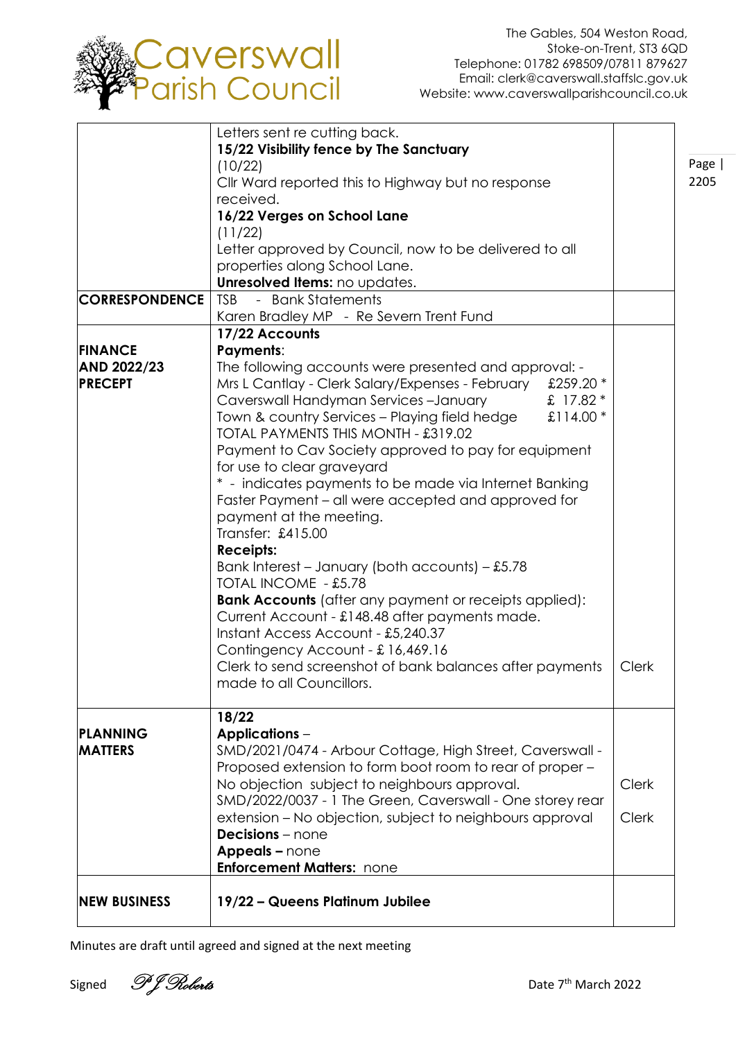

Page | 2205

| <b>NEW BUSINESS</b>                  | 19/22 - Queens Platinum Jubilee                                                                                        |              |
|--------------------------------------|------------------------------------------------------------------------------------------------------------------------|--------------|
|                                      |                                                                                                                        |              |
|                                      | <b>Enforcement Matters: none</b>                                                                                       |              |
|                                      | <b>Decisions</b> – none<br>Appeals - none                                                                              |              |
|                                      | extension - No objection, subject to neighbours approval                                                               | <b>Clerk</b> |
|                                      | SMD/2022/0037 - 1 The Green, Caverswall - One storey rear                                                              |              |
|                                      | No objection subject to neighbours approval.                                                                           | Clerk        |
| <b>MATTERS</b>                       | SMD/2021/0474 - Arbour Cottage, High Street, Caverswall -<br>Proposed extension to form boot room to rear of proper -  |              |
| PLANNING                             | <b>Applications -</b>                                                                                                  |              |
|                                      | 18/22                                                                                                                  |              |
|                                      |                                                                                                                        |              |
|                                      | made to all Councillors.                                                                                               |              |
|                                      | Contingency Account - £16,469.16<br>Clerk to send screenshot of bank balances after payments                           | Clerk        |
|                                      | Instant Access Account - £5,240.37                                                                                     |              |
|                                      | Current Account - £148.48 after payments made.                                                                         |              |
|                                      | <b>Bank Accounts</b> (after any payment or receipts applied):                                                          |              |
|                                      | Bank Interest - January (both accounts) $-$ £5.78<br><b>TOTAL INCOME - £5.78</b>                                       |              |
|                                      | <b>Receipts:</b>                                                                                                       |              |
|                                      | Transfer: £415.00                                                                                                      |              |
|                                      | payment at the meeting.                                                                                                |              |
|                                      | Faster Payment – all were accepted and approved for                                                                    |              |
|                                      | for use to clear graveyard<br>* - indicates payments to be made via Internet Banking                                   |              |
|                                      | Payment to Cav Society approved to pay for equipment                                                                   |              |
|                                      | TOTAL PAYMENTS THIS MONTH - £319.02                                                                                    |              |
|                                      | Town & country Services - Playing field hedge<br>£114.00 $*$                                                           |              |
|                                      | Caverswall Handyman Services-January<br>£ 17.82 *                                                                      |              |
| <b>AND 2022/23</b><br><b>PRECEPT</b> | The following accounts were presented and approval: -<br>Mrs L Cantlay - Clerk Salary/Expenses - February<br>£259.20 * |              |
| <b>FINANCE</b>                       | <b>Payments:</b>                                                                                                       |              |
|                                      | 17/22 Accounts                                                                                                         |              |
|                                      | Karen Bradley MP - Re Severn Trent Fund                                                                                |              |
| <b>CORRESPONDENCE</b>                | - Bank Statements<br><b>TSB</b>                                                                                        |              |
|                                      | Unresolved Items: no updates.                                                                                          |              |
|                                      | Letter approved by Council, now to be delivered to all<br>properties along School Lane.                                |              |
|                                      | (11/22)                                                                                                                |              |
|                                      | 16/22 Verges on School Lane                                                                                            |              |
|                                      | received.                                                                                                              |              |
|                                      | (10/22)<br>Cllr Ward reported this to Highway but no response                                                          |              |
|                                      | 15/22 Visibility fence by The Sanctuary                                                                                |              |
|                                      | Letters sent re cutting back.                                                                                          |              |

Minutes are draft until agreed and signed at the next meeting